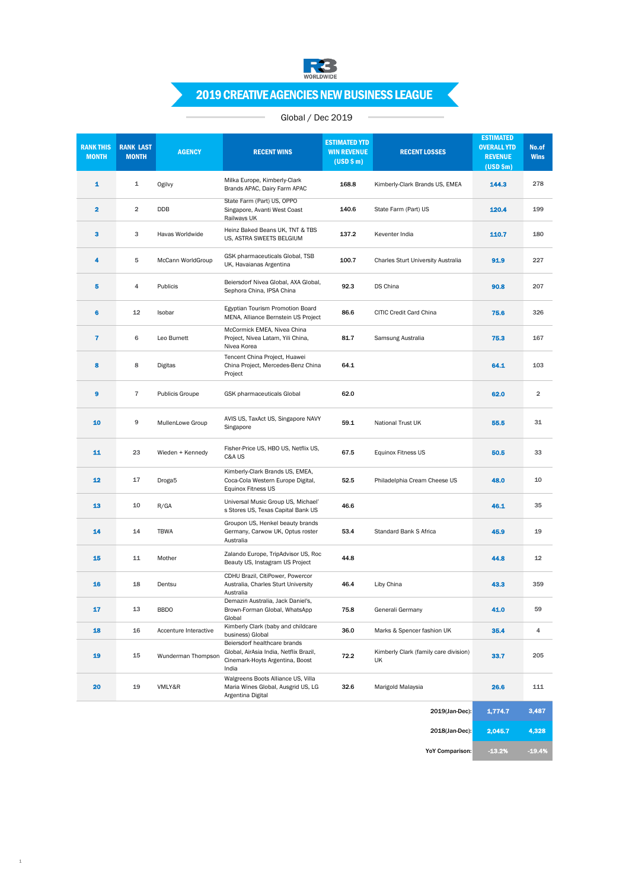

# 2019 CREATIVE AGENCIES NEW BUSINESS LEAGUE

## Global / Dec 2019

 $\sim$ 

| <b>RANK THIS</b><br><b>MONTH</b> | <b>RANK LAST</b><br><b>MONTH</b> | <b>AGENCY</b>          | <b>RECENT WINS</b>                                                                                                 | <b>ESTIMATED YTD</b><br><b>WIN REVENUE</b><br>(USD \$m) | <b>RECENT LOSSES</b>                        | <b>ESTIMATED</b><br><b>OVERALL YTD</b><br><b>REVENUE</b><br>$(USD$ \$m) | No.of<br><b>Wins</b> |
|----------------------------------|----------------------------------|------------------------|--------------------------------------------------------------------------------------------------------------------|---------------------------------------------------------|---------------------------------------------|-------------------------------------------------------------------------|----------------------|
| 1                                | $\mathbf{1}$                     | Ogilvy                 | Milka Europe, Kimberly-Clark<br>Brands APAC, Dairy Farm APAC                                                       | 168.8                                                   | Kimberly-Clark Brands US, EMEA              | 144.3                                                                   | 278                  |
| $\overline{\mathbf{2}}$          | $\overline{2}$                   | DDB                    | State Farm (Part) US, OPPO<br>Singapore, Avanti West Coast<br>Railways UK                                          | 140.6                                                   | State Farm (Part) US                        | 120.4                                                                   | 199                  |
| 3                                | 3                                | Havas Worldwide        | Heinz Baked Beans UK, TNT & TBS<br>US, ASTRA SWEETS BELGIUM                                                        | 137.2                                                   | Keventer India                              | 110.7                                                                   | 180                  |
| 4                                | 5                                | McCann WorldGroup      | GSK pharmaceuticals Global, TSB<br>UK, Havaianas Argentina                                                         | 100.7                                                   | Charles Sturt University Australia          | 91.9                                                                    | 227                  |
| 5                                | 4                                | Publicis               | Beiersdorf Nivea Global, AXA Global,<br>Sephora China, IPSA China                                                  | 92.3                                                    | DS China                                    | 90.8                                                                    | 207                  |
| 6                                | 12                               | Isobar                 | Egyptian Tourism Promotion Board<br>MENA, Alliance Bernstein US Project                                            | 86.6                                                    | CITIC Credit Card China                     | 75.6                                                                    | 326                  |
| $\overline{\mathbf{r}}$          | 6                                | Leo Burnett            | McCormick EMEA, Nivea China<br>Project, Nivea Latam, Yili China,<br>Nivea Korea                                    | 81.7                                                    | Samsung Australia                           | 75.3                                                                    | 167                  |
| 8                                | 8                                | Digitas                | Tencent China Project, Huawei<br>China Project, Mercedes-Benz China<br>Project                                     | 64.1                                                    |                                             | 64.1                                                                    | 103                  |
| 9                                | $\overline{7}$                   | <b>Publicis Groupe</b> | GSK pharmaceuticals Global                                                                                         | 62.0                                                    |                                             | 62.0                                                                    | $\overline{2}$       |
| 10                               | 9                                | MullenLowe Group       | AVIS US, TaxAct US, Singapore NAVY<br>Singapore                                                                    | 59.1                                                    | National Trust UK                           | 55.5                                                                    | 31                   |
| 11                               | 23                               | Wieden + Kennedy       | Fisher-Price US, HBO US, Netflix US,<br>C&A US                                                                     | 67.5                                                    | Equinox Fitness US                          | 50.5                                                                    | 33                   |
| 12                               | 17                               | Droga <sub>5</sub>     | Kimberly-Clark Brands US, EMEA,<br>Coca-Cola Western Europe Digital,<br><b>Equinox Fitness US</b>                  | 52.5                                                    | Philadelphia Cream Cheese US                | 48.0                                                                    | 10                   |
| 13                               | 10                               | R/GA                   | Universal Music Group US, Michael'<br>s Stores US, Texas Capital Bank US                                           | 46.6                                                    |                                             | 46.1                                                                    | 35                   |
| 14                               | 14                               | <b>TBWA</b>            | Groupon US, Henkel beauty brands<br>Germany, Carwow UK, Optus roster<br>Australia                                  | 53.4                                                    | Standard Bank S Africa                      | 45.9                                                                    | 19                   |
| 15                               | 11                               | Mother                 | Zalando Europe, TripAdvisor US, Roc<br>Beauty US, Instagram US Project                                             | 44.8                                                    |                                             | 44.8                                                                    | 12                   |
| 16                               | 18                               | Dentsu                 | CDHU Brazil, CitiPower, Powercor<br>Australia, Charles Sturt University<br>Australia                               | 46.4                                                    | Liby China                                  | 43.3                                                                    | 359                  |
| 17                               | 13                               | <b>BBDO</b>            | Demazin Australia, Jack Daniel's,<br>Brown-Forman Global, WhatsApp<br>Global                                       | 75.8                                                    | Generali Germany                            | 41.0                                                                    | 59                   |
| 18                               | 16                               | Accenture Interactive  | Kimberly Clark (baby and childcare<br>business) Global                                                             | 36.0                                                    | Marks & Spencer fashion UK                  | 35.4                                                                    | 4                    |
| 19                               | 15                               | Wunderman Thompson     | Beiersdorf healthcare brands<br>Global, AirAsia India, Netflix Brazil,<br>Cinemark-Hoyts Argentina, Boost<br>India | 72.2                                                    | Kimberly Clark (family care division)<br>UK | 33.7                                                                    | 205                  |
| 20                               | 19                               | VMLY&R                 | Walgreens Boots Alliance US, Villa<br>Maria Wines Global, Ausgrid US, LG<br>Argentina Digital                      | 32.6                                                    | Marigold Malaysia                           | 26.6                                                                    | 111                  |
|                                  |                                  |                        |                                                                                                                    |                                                         | 2019(Jan-Dec):                              | 1,774.7                                                                 | 3,487                |

1

| 2019(Jan-Dec):         | 1,774.7  | 3,487    |
|------------------------|----------|----------|
| 2018(Jan-Dec):         | 2.045.7  | 4.328    |
| <b>YoY Comparison:</b> | $-13.2%$ | $-19.4%$ |